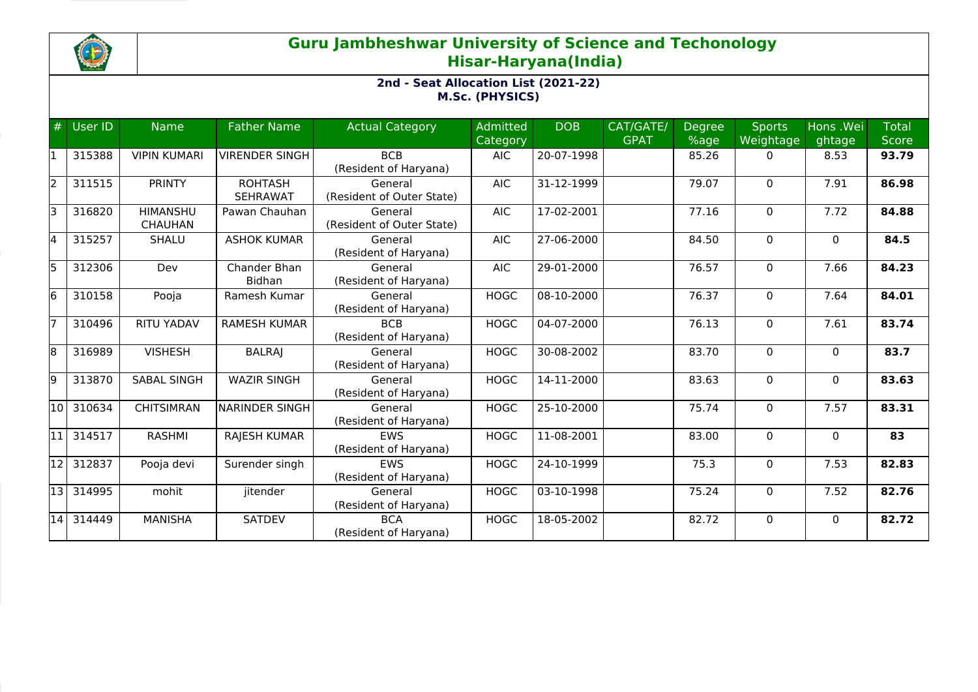

## **Guru Jambheshwar University of Science and Techonology Hisar-Haryana(India)**

## **2nd - Seat Allocation List (2021-22) M.Sc. (PHYSICS)**

| #     | User ID | <b>Name</b>                       | <b>Father Name</b>                | <b>Actual Category</b>               | <b>Admitted</b><br>Category | <b>DOB</b> | CAT/GATE/<br><b>GPAT</b> | Degree<br>%age | <b>Sports</b><br>Weightage | Hons . Wei<br>ghtage | <b>Total</b><br><b>Score</b> |
|-------|---------|-----------------------------------|-----------------------------------|--------------------------------------|-----------------------------|------------|--------------------------|----------------|----------------------------|----------------------|------------------------------|
|       | 315388  | <b>VIPIN KUMARI</b>               | VIRENDER SINGH                    | <b>BCB</b><br>(Resident of Haryana)  | <b>AIC</b>                  | 20-07-1998 |                          | 85.26          | 0                          | 8.53                 | 93.79                        |
| l2    | 311515  | <b>PRINTY</b>                     | <b>ROHTASH</b><br><b>SEHRAWAT</b> | General<br>(Resident of Outer State) | <b>AIC</b>                  | 31-12-1999 |                          | 79.07          | $\Omega$                   | 7.91                 | 86.98                        |
| lЗ    | 316820  | <b>HIMANSHU</b><br><b>CHAUHAN</b> | Pawan Chauhan                     | General<br>(Resident of Outer State) | <b>AIC</b>                  | 17-02-2001 |                          | 77.16          | $\Omega$                   | 7.72                 | 84.88                        |
| l4    | 315257  | <b>SHALU</b>                      | <b>ASHOK KUMAR</b>                | General<br>(Resident of Haryana)     | <b>AIC</b>                  | 27-06-2000 |                          | 84.50          | 0                          | $\mathbf{0}$         | 84.5                         |
| l5    | 312306  | Dev                               | Chander Bhan<br><b>Bidhan</b>     | General<br>(Resident of Haryana)     | <b>AIC</b>                  | 29-01-2000 |                          | 76.57          | 0                          | 7.66                 | 84.23                        |
| l6    | 310158  | Pooja                             | Ramesh Kumar                      | General<br>(Resident of Haryana)     | <b>HOGC</b>                 | 08-10-2000 |                          | 76.37          | 0                          | 7.64                 | 84.01                        |
|       | 310496  | <b>RITU YADAV</b>                 | <b>RAMESH KUMAR</b>               | <b>BCB</b><br>(Resident of Haryana)  | <b>HOGC</b>                 | 04-07-2000 |                          | 76.13          | 0                          | 7.61                 | 83.74                        |
| l8    | 316989  | <b>VISHESH</b>                    | <b>BALRAJ</b>                     | General<br>(Resident of Haryana)     | <b>HOGC</b>                 | 30-08-2002 |                          | 83.70          | $\Omega$                   | $\mathbf{0}$         | 83.7                         |
| l9    | 313870  | <b>SABAL SINGH</b>                | <b>WAZIR SINGH</b>                | General<br>(Resident of Haryana)     | <b>HOGC</b>                 | 14-11-2000 |                          | 83.63          | $\Omega$                   | $\mathbf{0}$         | 83.63                        |
| 10    | 310634  | <b>CHITSIMRAN</b>                 | <b>NARINDER SINGH</b>             | General<br>(Resident of Haryana)     | <b>HOGC</b>                 | 25-10-2000 |                          | 75.74          | 0                          | 7.57                 | 83.31                        |
| l11 l | 314517  | <b>RASHMI</b>                     | RAJESH KUMAR                      | <b>EWS</b><br>(Resident of Haryana)  | <b>HOGC</b>                 | 11-08-2001 |                          | 83.00          | $\Omega$                   | $\mathbf{0}$         | 83                           |
| 12    | 312837  | Pooja devi                        | Surender singh                    | <b>EWS</b><br>(Resident of Haryana)  | <b>HOGC</b>                 | 24-10-1999 |                          | 75.3           | $\Omega$                   | 7.53                 | 82.83                        |
| 13    | 314995  | mohit                             | jitender                          | General<br>(Resident of Haryana)     | <b>HOGC</b>                 | 03-10-1998 |                          | 75.24          | 0                          | 7.52                 | 82.76                        |
| 14    | 314449  | <b>MANISHA</b>                    | <b>SATDEV</b>                     | <b>BCA</b><br>(Resident of Haryana)  | <b>HOGC</b>                 | 18-05-2002 |                          | 82.72          | $\Omega$                   | $\Omega$             | 82.72                        |